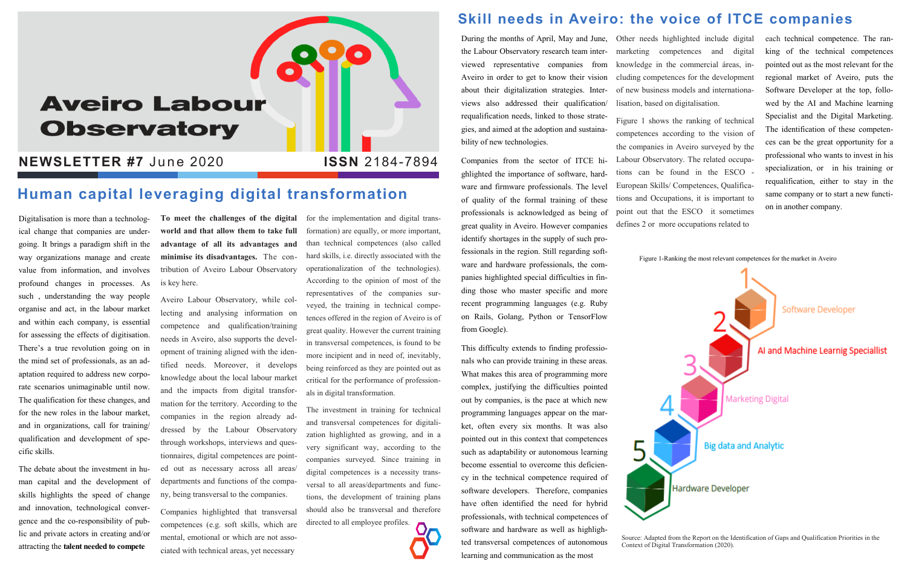# **Aveiro Labour Observatory**

#### **NEWSLETTER #7 June 2020**

Digitalisation is more than a technological change that companies are undergoing. It brings a paradigm shift in the way organizations manage and create value from information, and involves profound changes in processes. As such , understanding the way people organise and act, in the labour market and within each company, is essential for assessing the effects of digitisation. There's a true revolution going on in the mind set of professionals, as an adaptation required to address new corporate scenarios unimaginable until now. The qualification for these changes, and for the new roles in the labour market, and in organizations, call for training/ qualification and development of specific skills.

The debate about the investment in human capital and the development of skills highlights the speed of change and innovation, technological convergence and the co-responsibility of public and private actors in creating and/or attracting the **talent needed to compete** 

**To meet the challenges of the digital world and that allow them to take full advantage of all its advantages and minimise its disadvantages.** The contribution of Aveiro Labour Observatory is key here.

Aveiro Labour Observatory, while collecting and analysing information on competence and qualification/training needs in Aveiro, also supports the development of training aligned with the identified needs. Moreover, it develops knowledge about the local labour market and the impacts from digital transformation for the territory. According to the companies in the region already addressed by the Labour Observatory through workshops, interviews and questionnaires, digital competences are pointed out as necessary across all areas/ departments and functions of the company, being transversal to the companies.

Companies highlighted that transversal competences (e.g. soft skills, which are mental, emotional or which are not associated with technical areas, yet necessary

for the implementation and digital transformation) are equally, or more important, than technical competences (also called hard skills, i.e. directly associated with the operationalization of the technologies). According to the opinion of most of the representatives of the companies surveyed, the training in technical competences offered in the region of Aveiro is of great quality. However the current training in transversal competences, is found to be more incipient and in need of, inevitably, being reinforced as they are pointed out as critical for the performance of professionals in digital transformation.

The investment in training for technical and transversal competences for digitalization highlighted as growing, and in a very significant way, according to the companies surveyed. Since training in digital competences is a necessity transversal to all areas/departments and functions, the development of training plans should also be transversal and therefore directed to all employee profiles.

### **Skill needs in Aveiro: the voice of ITCE companies**

During the months of April, May and June, the Labour Observatory research team interviewed representative companies from Aveiro in order to get to know their vision about their digitalization strategies. Interviews also addressed their qualification/ requalification needs, linked to those strategies, and aimed at the adoption and sustainability of new technologies.

Companies from the sector of ITCE highlighted the importance of software, hardware and firmware professionals. The level of quality of the formal training of these professionals is acknowledged as being of great quality in Aveiro. However companies identify shortages in the supply of such professionals in the region. Still regarding software and hardware professionals, the companies highlighted special difficulties in finding those who master specific and more recent programming languages (e.g. Ruby on Rails, Golang, Python or TensorFlow from Google).

This difficulty extends to finding professionals who can provide training in these areas. What makes this area of programming more complex, justifying the difficulties pointed out by companies, is the pace at which new programming languages appear on the market, often every six months. It was also pointed out in this context that competences such as adaptability or autonomous learning become essential to overcome this deficiency in the technical competence required of software developers. Therefore, companies have often identified the need for hybrid professionals, with technical competences of software and hardware as well as highlighted transversal competences of autonomous learning and communication as the most

## **Human capital leveraging digital transformation**

Other needs highlighted include digital marketing competences and digital knowledge in the commercial áreas, including competences for the development of new business models and internationalisation, based on digitalisation.

Figure 1 shows the ranking of technical competences according to the vision of the companies in Aveiro surveyed by the Labour Observatory. The related occupations can be found in the ESCO - European Skills/ Competences, Qualifications and Occupations, it is important to point out that the ESCO it sometimes defines 2 or more occupations related to



each technical competence. The ranking of the technical competences pointed out as the most relevant for the regional market of Aveiro, puts the Software Developer at the top, followed by the AI and Machine learning Specialist and the Digital Marketing. The identification of these competences can be the great opportunity for a professional who wants to invest in his specialization, or in his training or requalification, either to stay in the same company or to start a new function in another company.

Figure 1-Ranking the most relevant competences for the market in Aveiro

Source: Adapted from the Report on the Identification of Gaps and Qualification Priorities in the Context of Digital Transformation (2020).

#### **ISSN** 2184-7894